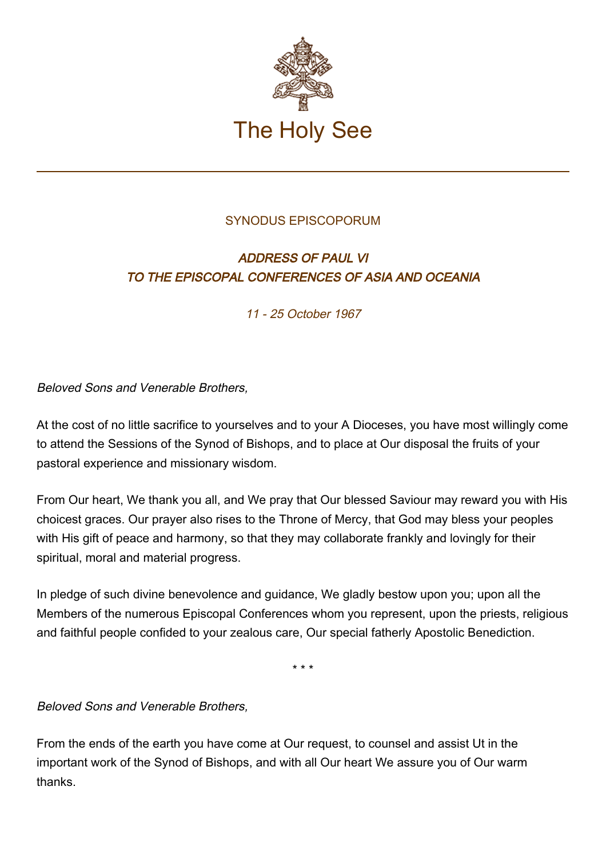

## SYNODUS EPISCOPORUM

## ADDRESS OF PAUL VI TO THE EPISCOPAL CONFERENCES OF ASIA AND OCEANIA

11 - 25 October 1967

Beloved Sons and Venerable Brothers,

At the cost of no little sacrifice to yourselves and to your A Dioceses, you have most willingly come to attend the Sessions of the Synod of Bishops, and to place at Our disposal the fruits of your pastoral experience and missionary wisdom.

From Our heart, We thank you all, and We pray that Our blessed Saviour may reward you with His choicest graces. Our prayer also rises to the Throne of Mercy, that God may bless your peoples with His gift of peace and harmony, so that they may collaborate frankly and lovingly for their spiritual, moral and material progress.

In pledge of such divine benevolence and guidance, We gladly bestow upon you; upon all the Members of the numerous Episcopal Conferences whom you represent, upon the priests, religious and faithful people confided to your zealous care, Our special fatherly Apostolic Benediction.

\* \* \*

Beloved Sons and Venerable Brothers,

From the ends of the earth you have come at Our request, to counsel and assist Ut in the important work of the Synod of Bishops, and with all Our heart We assure you of Our warm thanks.